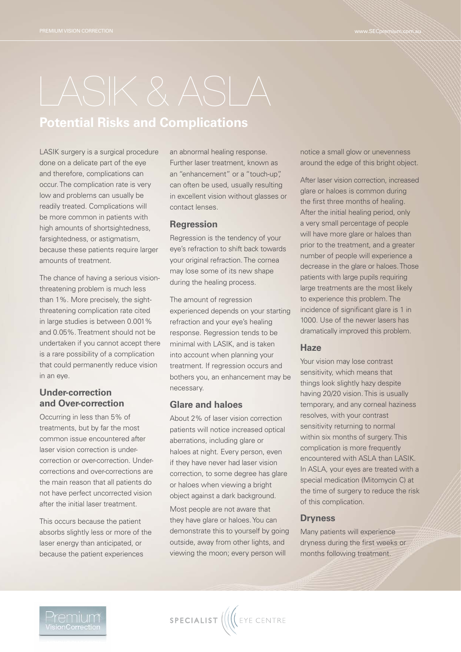# **Potential Risks and Complications**

LASIK surgery is a surgical procedure done on a delicate part of the eye and therefore, complications can occur. The complication rate is very low and problems can usually be readily treated. Complications will be more common in patients with high amounts of shortsightedness, farsightedness, or astigmatism, because these patients require larger amounts of treatment.

The chance of having a serious visionthreatening problem is much less than 1%. More precisely, the sightthreatening complication rate cited in large studies is between 0.001% and 0.05%. Treatment should not be undertaken if you cannot accept there is a rare possibility of a complication that could permanently reduce vision in an eye.

# **Under-correction and Over-correction**

Occurring in less than 5% of treatments, but by far the most common issue encountered after laser vision correction is undercorrection or over-correction. Undercorrections and over-corrections are the main reason that all patients do not have perfect uncorrected vision after the initial laser treatment.

This occurs because the patient absorbs slightly less or more of the laser energy than anticipated, or because the patient experiences

an abnormal healing response. Further laser treatment, known as an "enhancement" or a "touch-up", can often be used, usually resulting in excellent vision without glasses or contact lenses.

### **Regression**

Regression is the tendency of your eye's refraction to shift back towards your original refraction. The cornea may lose some of its new shape during the healing process.

The amount of regression experienced depends on your starting refraction and your eye's healing response. Regression tends to be minimal with LASIK, and is taken into account when planning your treatment. If regression occurs and bothers you, an enhancement may be necessary.

# **Glare and haloes**

About 2% of laser vision correction patients will notice increased optical aberrations, including glare or haloes at night. Every person, even if they have never had laser vision correction, to some degree has glare or haloes when viewing a bright object against a dark background. Most people are not aware that they have glare or haloes. You can demonstrate this to yourself by going outside, away from other lights, and viewing the moon; every person will

notice a small glow or unevenness around the edge of this bright object.

After laser vision correction, increased glare or haloes is common during the first three months of healing. After the initial healing period, only a very small percentage of people will have more glare or haloes than prior to the treatment, and a greater number of people will experience a decrease in the glare or haloes. Those patients with large pupils requiring large treatments are the most likely to experience this problem. The incidence of significant glare is 1 in 1000. Use of the newer lasers has dramatically improved this problem.

#### **Haze**

Your vision may lose contrast sensitivity, which means that things look slightly hazy despite having 20/20 vision. This is usually temporary, and any corneal haziness resolves, with your contrast sensitivity returning to normal within six months of surgery. This complication is more frequently encountered with ASLA than LASIK. In ASLA, your eyes are treated with a special medication (Mitomycin C) at the time of surgery to reduce the risk of this complication.

### **Dryness**

Many patients will experience dryness during the first weeks or months following treatment.